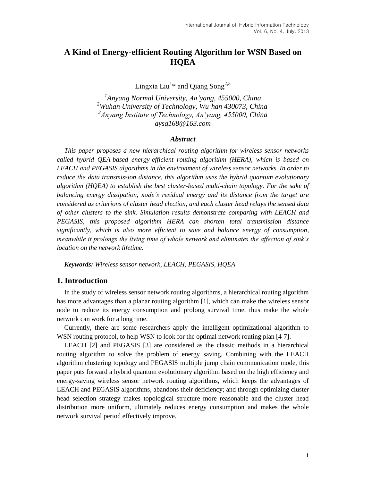# **A Kind of Energy-efficient Routing Algorithm for WSN Based on HQEA**

Lingxia Liu $^{1*}$  and Qiang  $\mathrm{Song}^{2,3}$ 

 *Anyang Normal University, An'yang, 455000, China Wuhan University of Technology, Wu'han 430073, China Anyang Institute of Technology, An'yang, 455000, China aysq168@163.com*

#### *Abstract*

*This paper proposes a new hierarchical routing algorithm for wireless sensor networks called hybrid QEA-based energy-efficient routing algorithm (HERA), which is based on LEACH and PEGASIS algorithms in the environment of wireless sensor networks. In order to reduce the data transmission distance, this algorithm uses the hybrid quantum evolutionary algorithm (HQEA) to establish the best cluster-based multi-chain topology. For the sake of balancing energy dissipation, node's residual energy and its distance from the target are considered as criterions of cluster head election, and each cluster head relays the sensed data of other clusters to the sink. Simulation results demonstrate comparing with LEACH and PEGASIS, this proposed algorithm HERA can shorten total transmission distance significantly, which is also more efficient to save and balance energy of consumption, meanwhile it prolongs the living time of whole network and eliminates the affection of sink's location on the network lifetime.*

*Keywords: Wireless sensor network, LEACH, PEGASIS, HQEA*

# **1. Introduction**

In the study of wireless sensor network routing algorithms, a hierarchical routing algorithm has more advantages than a planar routing algorithm [1], which can make the wireless sensor node to reduce its energy consumption and prolong survival time, thus make the whole network can work for a long time.

Currently, there are some researchers apply the intelligent optimizational algorithm to WSN routing protocol, to help WSN to look for the optimal network routing plan [4-7].

LEACH [2] and PEGASIS [3] are considered as the classic methods in a hierarchical routing algorithm to solve the problem of energy saving. Combining with the LEACH algorithm clustering topology and PEGASIS multiple jump chain communication mode, this paper puts forward a hybrid quantum evolutionary algorithm based on the high efficiency and energy-saving wireless sensor network routing algorithms, which keeps the advantages of LEACH and PEGASIS algorithms, abandons their deficiency; and through optimizing cluster head selection strategy makes topological structure more reasonable and the cluster head distribution more uniform, ultimately reduces energy consumption and makes the whole network survival period effectively improve.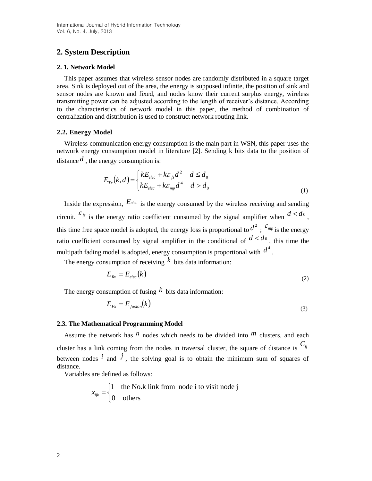# **2. System Description**

#### **2. 1. Network Model**

This paper assumes that wireless sensor nodes are randomly distributed in a square target area. Sink is deployed out of the area, the energy is supposed infinite, the position of sink and sensor nodes are known and fixed, and nodes know their current surplus energy, wireless transmitting power can be adjusted according to the length of receiver's distance. According to the characteristics of network model in this paper, the method of combination of centralization and distribution is used to construct network routing link.

# **2.2. Energy Model**

Wireless communication energy consumption is the main part in WSN, this paper uses the network energy consumption model in literature [2]. Sending k bits data to the position of distance  $d$ , the energy consumption is:

$$
E_{Tx}(k,d) = \begin{cases} kE_{elec} + k\varepsilon_{fs}d^2 & d \le d_0\\ kE_{elec} + k\varepsilon_{mp}d^4 & d > d_0 \end{cases}
$$
 (1)

Inside the expression,  $E_{elec}$  is the energy consumed by the wireless receiving and sending circuit.  $\mathcal{E}_{fs}$  is the energy ratio coefficient consumed by the signal amplifier when  $d < d_0$ , this time free space model is adopted, the energy loss is proportional to  $d^2$ ;  $\epsilon_{mp}$  is the energy ratio coefficient consumed by signal amplifier in the conditional of  $d < d_0$ , this time the multipath fading model is adopted, energy consumption is proportional with  $d^4$ .

The energy consumption of receiving  $k$  bits data information:

$$
E_{Rx} = E_{elec}(k) \tag{2}
$$

The energy consumption of fusing  $k$  bits data information:

$$
E_{Fx} = E_{fusion}(k) \tag{3}
$$

# **2.3. The Mathematical Programming Model**

Assume the network has  $^n$  nodes which needs to be divided into  $^m$  clusters, and each cluster has a link coming from the nodes in traversal cluster, the square of distance is *Cij* between nodes  $\hat{i}$  and  $\hat{j}$ , the solving goal is to obtain the minimum sum of squares of distance.

Variables are defined as follows:

$$
x_{ijk} = \begin{cases} 1 & \text{the No.k link from node i to visit node j} \\ 0 & \text{others} \end{cases}
$$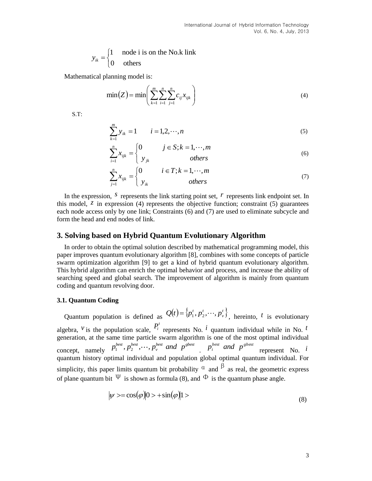$$
y_{ik} = \begin{cases} 1 & \text{node i is on the No.k link} \\ 0 & \text{others} \end{cases}
$$

Mathematical planning model is:

$$
\min(Z) = \min\left(\sum_{k=1}^{m} \sum_{i=1}^{n} \sum_{j=1}^{n} c_{ij} x_{ijk}\right)
$$
\n(4)

S.T:

$$
\sum_{k=1}^{m} y_{ik} = 1 \qquad i = 1, 2, \cdots, n \tag{5}
$$

$$
\sum_{i=1}^{n} x_{ijk} = \begin{cases} 0 & j \in S; k = 1, \cdots, m \\ y_{jk} & others \end{cases}
$$
 (6)

$$
\sum_{j=1}^{n} x_{ijk} = \begin{cases} 0 & i \in T; k = 1, \cdots, m \\ y_{ik} & otherwise \end{cases}
$$
 (7)

In the expression,  $\delta$  represents the link starting point set,  $\dot{r}$  represents link endpoint set. In this model,  $\overline{z}$  in expression (4) represents the objective function; constraint (5) guarantees each node access only by one link; Constraints (6) and (7) are used to eliminate subcycle and form the head and end nodes of link.

# **3. Solving based on Hybrid Quantum Evolutionary Algorithm**

In order to obtain the optimal solution described by mathematical programming model, this paper improves quantum evolutionary algorithm [8], combines with some concepts of particle swarm optimization algorithm [9] to get a kind of hybrid quantum evolutionary algorithm. This hybrid algorithm can enrich the optimal behavior and process, and increase the ability of searching speed and global search. The improvement of algorithm is mainly from quantum coding and quantum revolving door.

### **3.1. Quantum Coding**

Quantum population is defined as  $Q(t) = \{p_1^t, p_2^t, \dots, p_v^t\}$ ,  $Q(t) = \{p_1^t, p_2^t, \dots, p_v^t\}$ , hereinto, t is evolutionary algebra, <sup>*v*</sup> is the population scale,  $P_i^t$  represents No. *i* quantum individual while in No. *t* generation, at the same time particle swarm algorithm is one of the most optimal individual generation, at the same time particle swarm algorithm<br>
concept, namely  $p_1^{best}, p_2^{best}, \cdots, p_v^{best}$  and  $p_3^{best}$ .  $p_i^{best}$  *and*  $p^{sbest}$  represent No. *i* quantum history optimal individual and population global optimal quantum individual. For simplicity, this paper limits quantum bit probability  $\alpha$  and  $\beta$  as real, the geometric express of plane quantum bit  $\Psi$  is shown as formula (8), and  $\Phi$  is the quantum phase angle.

$$
|\psi\rangle = \cos(\varphi)|0\rangle + \sin(\varphi)|1\rangle \tag{8}
$$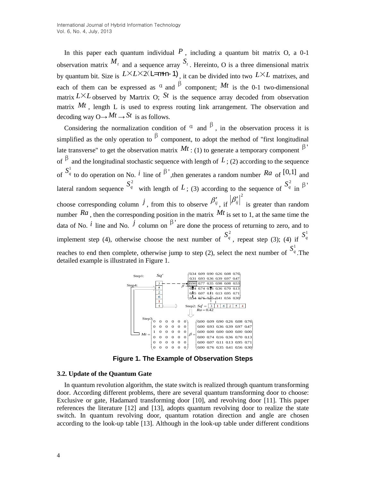In this paper each quantum individual  $P$ , including a quantum bit matrix O, a 0-1 observation matrix  $M_t$  and a sequence array  $S_t$ . Hereinto, O is a three dimensional matrix by quantum bit. Size is  $L \times L \times 2(L=$ **m+n-1)**, it can be divided into two  $L \times L$  matrixes, and each of them can be expressed as  $\alpha$  and  $\beta$  component; Mt is the 0-1 two-dimensional matrix  $L \times L$  observed by Martrix O;  $St$  is the sequence array decoded from observation matrix  $Mt$ , length L is used to express routing link arrangement. The observation and decoding way  $O \rightarrow Mt \rightarrow St$  is as follows.

Considering the normalization condition of  $\alpha$  and  $\beta$ , in the observation process it is simplified as the only operation to  $\beta$  component, to adopt the method of "first longitudinal" late transverse" to get the observation matrix  $Mt$  : (1) to generate a temporary component  $\beta'$ of  $\beta$  and the longitudinal stochastic sequence with length of L; (2) according to the sequence of  $S_q^1$  to do operation on No. *i* line of  $\beta'$ , then generates a random number Ra of [0,1] and lateral random sequence  $S_q^2$  with length of L; (3) according to the sequence of  $S_q^2$ <sub>in</sub>  $\beta$ ' choose corresponding column  $\hat{J}$ , from this to observe  $\beta'_{ij}$ , if  $\beta'_{ij}\big|^2$ is greater than random number  $Ra$ , then the corresponding position in the matrix  $Mt$  is set to 1, at the same time the data of No.  $^{i}$  line and No.  $^{j}$  column on  $^{i}$  are done the process of returning to zero, and to implement step (4), otherwise choose the next number of  $S_q^2$ , repeat step (3); (4) if  $S_q^1$ reaches to end then complete, otherwise jump to step (2), select the next number of  $S_q^1$ .The detailed example is illustrated in Figure 1.



**Figure 1. The Example of Observation Steps**

#### **3.2. Update of the Quantum Gate**

In quantum revolution algorithm, the state switch is realized through quantum transforming door. According different problems, there are several quantum transforming door to choose: Exclusive or gate, Hadamard transforming door [10], and revolving door [11]. This paper references the literature [12] and [13], adopts quantum revolving door to realize the state switch. In quantum revolving door, quantum rotation direction and angle are chosen according to the look-up table [13]. Although in the look-up table under different conditions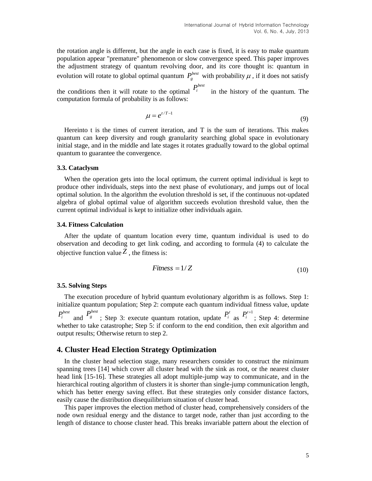the rotation angle is different, but the angle in each case is fixed, it is easy to make quantum population appear "premature" phenomenon or slow convergence speed. This paper improves the adjustment strategy of quantum revolving door, and its core thought is: quantum in evolution will rotate to global optimal quantum  $P_g^{best}$  with probability  $\mu$ , if it does not satisfy

the conditions then it will rotate to the optimal  $P_i^{best}$  in the history of the quantum. The computation formula of probability is as follows:

$$
\mu = e^{t/T - 1} \tag{9}
$$

Hereinto t is the times of current iteration, and T is the sum of iterations. This makes quantum can keep diversity and rough granularity searching global space in evolutionary initial stage, and in the middle and late stages it rotates gradually toward to the global optimal quantum to guarantee the convergence.

#### **3.3. Cataclysm**

When the operation gets into the local optimum, the current optimal individual is kept to produce other individuals, steps into the next phase of evolutionary, and jumps out of local optimal solution. In the algorithm the evolution threshold is set, if the continuous not-updated algebra of global optimal value of algorithm succeeds evolution threshold value, then the current optimal individual is kept to initialize other individuals again.

#### **3.4. Fitness Calculation**

After the update of quantum location every time, quantum individual is used to do observation and decoding to get link coding, and according to formula (4) to calculate the objective function value  $Z$ , the fitness is:

$$
Fitness = 1/Z \tag{10}
$$

#### **3.5. Solving Steps**

The execution procedure of hybrid quantum evolutionary algorithm is as follows. Step 1: initialize quantum population; Step 2: compute each quantum individual fitness value, update  $P_i^{best}$ and  $P_g^{best}$ ; Step 3: execute quantum rotation, update  $P_i^t$  as  $P_i^{t+1}$ ; Step 4: determine whether to take catastrophe; Step 5: if conform to the end condition, then exit algorithm and output results; Otherwise return to step 2.

# **4. Cluster Head Election Strategy Optimization**

In the cluster head selection stage, many researchers consider to construct the minimum spanning trees [14] which cover all cluster head with the sink as root, or the nearest cluster head link [15-16]. These strategies all adopt multiple-jump way to communicate, and in the [hierarchical](app:ds:hierarchical) routing algorithm of clusters it is shorter than single-jump communication length, which has better energy saving effect. But these strategies only consider distance factors, easily cause the distribution disequilibrium situation of cluster head.

This paper improves the election method of cluster head, comprehensively considers of the node own residual energy and the distance to target node, rather than just according to the length of distance to choose cluster head. This breaks invariable pattern about the election of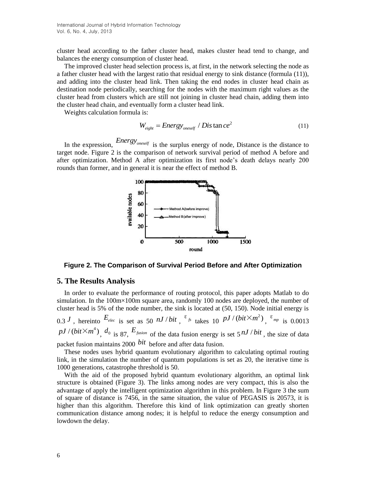cluster head according to the father cluster head, makes cluster head tend to change, and balances the energy consumption of cluster head.

The improved cluster head selection process is, at first, in the network selecting the node as a father cluster head with the largest ratio that residual energy to sink distance (formula (11)), and adding into the cluster head link. Then taking the end nodes in cluster head chain as destination node periodically, searching for the nodes with the maximum right values as the cluster head from clusters which are still not joining in cluster head chain, adding them into the cluster head chain, and eventually form a cluster head link.

Weights calculation formula is:

$$
W_{eight} = Energy_{oneself} / Dis \tan ce^2
$$
 (11)

In the expression, *Energyoneself* is the surplus energy of node, Distance is the distance to target node. Figure 2 is the comparison of network survival period of method A before and after optimization. Method A after optimization its first node's death delays nearly 200 rounds than former, and in general it is near the effect of method B.



**Figure 2. The Comparison of Survival Period Before and After Optimization**

#### **5. The Results Analysis**

1000 generations, catastrophe threshold is 50.

In order to evaluate the performance of routing protocol, this paper adopts Matlab to do simulation. In the 100m×100m square area, randomly 100 nodes are deployed, the number of cluster head is 5% of the node number, the sink is located at (50, 150). Node initial energy is

0.3 *J*, hereinto  $E_{elec}$  is set as 50 *nJ* / bit,  $\frac{\varepsilon_{fs}}{s}$  takes 10 *pJ* / (bit $\times m^2$ ),  $\frac{\varepsilon_{mp}}{s}$  is 0.0013  $pJ/(bit \times m^4)$ ,  $d_0$  is 87,  $E_{fusion}$  of the data fusion energy is set 5<sup>nJ/bit</sup>, the size of data packet fusion maintains 2000 *bit* before and after data fusion.

These nodes uses hybrid quantum evolutionary algorithm to calculating optimal routing link, in the simulation the number of quantum populations is set as 20, the iterative time is

With the aid of the proposed hybrid quantum evolutionary algorithm, an optimal link structure is obtained (Figure 3). The links among nodes are very compact, this is also the advantage of apply the intelligent optimization algorithm in this problem. In Figure 3 the sum of square of distance is 7456, in the same situation, the value of PEGASIS is 20573, it is higher than this algorithm. Therefore this kind of link optimization can greatly shorten communication distance among nodes; it is helpful to reduce the energy consumption and lowdown the delay.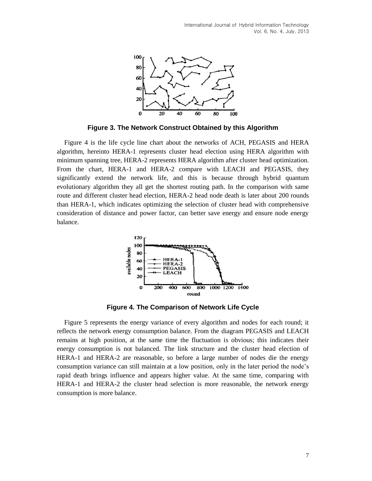

**Figure 3. The Network Construct Obtained by this Algorithm**

Figure 4 is the life cycle line chart about the networks of ACH, PEGASIS and HERA algorithm, hereinto HERA-1 represents cluster head election using HERA algorithm with minimum spanning tree, HERA-2 represents HERA algorithm after cluster head optimization. From the chart, HERA-1 and HERA-2 compare with LEACH and PEGASIS, they significantly extend the network life, and this is because through hybrid quantum evolutionary algorithm they all get the shortest routing path. In the comparison with same route and different cluster head election, HERA-2 head node death is later about 200 rounds than HERA-1, which indicates optimizing the selection of cluster head with comprehensive consideration of distance and power factor, can better save energy and ensure node energy balance.



**Figure 4. The Comparison of Network Life Cycle**

Figure 5 represents the energy variance of every algorithm and nodes for each round; it reflects the network energy consumption balance. From the diagram PEGASIS and LEACH remains at high position, at the same time the fluctuation is obvious; this indicates their energy consumption is not balanced. The link structure and the cluster head election of HERA-1 and HERA-2 are reasonable, so before a large number of nodes die the energy consumption variance can still maintain at a low position, only in the later period the node's rapid death brings influence and appears higher value. At the same time, comparing with HERA-1 and HERA-2 the cluster head selection is more reasonable, the network energy consumption is more balance.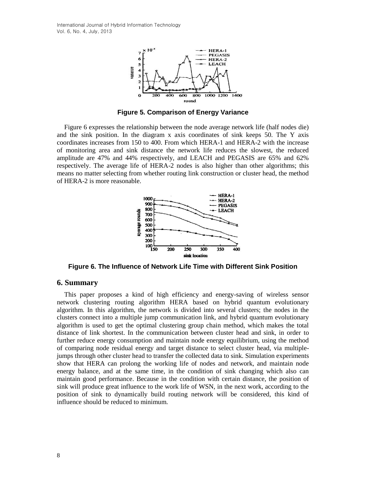International Journal of Hybrid Information Technology Vol. 6, No. 4, July, 2013



**Figure 5. Comparison of Energy Variance**

Figure 6 expresses the relationship between the node average network life (half nodes die) and the sink position. In the diagram x axis coordinates of sink keeps 50. The Y axis coordinates increases from 150 to 400. From which HERA-1 and HERA-2 with the increase of monitoring area and sink distance the network life reduces the slowest, the reduced amplitude are 47% and 44% respectively, and LEACH and PEGASIS are 65% and 62% respectively. The average life of HERA-2 nodes is also higher than other algorithms; this means no matter selecting from whether routing link construction or cluster head, the method of HERA-2 is more reasonable.



**Figure 6. The Influence of Network Life Time with Different Sink Position**

# **6. Summary**

This paper proposes a kind of high efficiency and energy-saving of wireless sensor network clustering routing algorithm HERA based on hybrid quantum evolutionary algorithm. In this algorithm, the network is divided into several clusters; the nodes in the clusters connect into a multiple jump communication link, and hybrid quantum evolutionary algorithm is used to get the optimal clustering group chain method, which makes the total distance of link shortest. In the communication between cluster head and sink, in order to further reduce energy consumption and maintain node energy equilibrium, using the method of comparing node residual energy and target distance to select cluster head, via multiplejumps through other cluster head to transfer the collected data to sink. Simulation experiments show that HERA can prolong the working life of nodes and network, and maintain node energy balance, and at the same time, in the condition of sink changing which also can maintain good performance. Because in the condition with certain distance, the position of sink will produce great influence to the work life of WSN, in the next work, according to the position of sink to dynamically build routing network will be considered, this kind of influence should be reduced to minimum.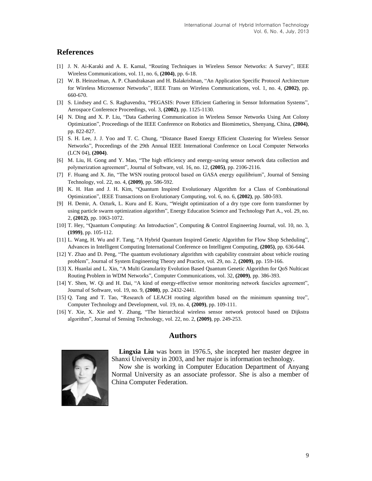# **References**

- [1] J. N. Ai-Karaki and A. E. Kamal, "Routing Techniques in Wireless Sensor Networks: A Survey", IEEE Wireless Communications, vol. 11, no. 6, **(2004)**, pp. 6-18.
- [2] W. B. Heinzelman, A. P. Chandrakasan and H. Balakrishnan, "An Application Specific Protocol Architecture for Wireless Microsensor Networks", IEEE Trans on Wireless Communications, vol. 1, no. 4, **(2002)**, pp. 660-670.
- [3] S. Lindsey and C. S. Raghavendra, "PEGASIS: Power Efficient Gathering in Sensor Information Systems", Aerospace Conference Proceedings, vol. 3, **(2002)**, pp. 1125-1130.
- [4] N. Ding and X. P. Liu, "Data Gathering Communication in Wireless Sensor Networks Using Ant Colony Optimization", Proceedings of the IEEE Conference on Robotics and Biomimetics, Shenyang, China, **(2004)**, pp. 822-827.
- [5] S. H. Lee, J. J. Yoo and T. C. Chung, "Distance Based Energy Efficient Clustering for Wireless Sensor Networks", Proceedings of the 29th Annual IEEE International Conference on Local Computer Networks (LCN 04), **(2004)**.
- [6] M. Liu, H. Gong and Y. Mao, "The high efficiency and energy-saving sensor network data collection and polymerization agreement", Journal of Software, vol. 16, no. 12, **(2005)**, pp. 2106-2116.
- [7] F. Huang and X. Jin, "The WSN routing protocol based on GASA energy equilibrium", Journal of Sensing Technology, vol. 22, no. 4, **(2009)**, pp. 586-592.
- [8] K. H. Han and J. H. Kim, "Quantum Inspired Evolutionary Algorithm for a Class of Combinational Optimization", IEEE Transactions on Evolutionary Computing, vol. 6, no. 6, **(2002)**, pp. 580-593.
- [9] H. Demir, A. Ozturk, L. Kuru and E. Kuru, "Weight optimization of a dry type core form transformer by using particle swarm optimization algorithm", Energy Education Science and Technology Part A., vol. 29, no. 2, **(2012)**, pp. 1063-1072.
- [10] T. Hey, "Quantum Computing: An Introduction", Computing & Control Engineering Journal, vol. 10, no. 3, **(1999)**, pp. 105-112.
- [11] L. Wang, H. Wu and F. Tang, "A Hybrid Quantum Inspired Genetic Algorithm for Flow Shop Scheduling", Advances in Intelligent Computing International Conference on Intelligent Computing, **(2005)**, pp. 636-644.
- [12] Y. Zhao and D. Peng, "The quantum evolutionary algorithm with capability constraint about vehicle routing problem", Journal of System Engineering Theory and Practice, vol. 29, no. 2, **(2009)**, pp. 159-166.
- [13] X. Huanlai and L. Xin, "A Multi Granularity Evolution Based Quantum Genetic Algorithm for QoS Nulticast Routing Problem in WDM Networks", Computer Communications, vol. 32, **(2009)**, pp. 386-393.
- [14] Y. Shen, W. Qi and H. Dai, "A kind of energy-effective sensor monitoring network fascicles agreement", Journal of Software, vol. 19, no. 9, **(2008)**, pp. 2432-2441.
- [15] Q. Tang and T. Tao, "Research of LEACH routing algorithm based on the minimum spanning tree", Computer Technology and Development, vol. 19, no. 4, **(2009)**, pp. 109-111.
- [16] Y. Xie, X. Xie and Y. Zhang, "The hierarchical wireless sensor network protocol based on Dijkstra algorithm", Journal of Sensing Technology, vol. 22, no. 2, **(2009)**, pp. 249-253.

# **Authors**

China Computer Federation.



**Lingxia Liu** was born in 1976.5, she incepted her master degree in Shanxi University in 2003, and her major is information technology. Now she is working in Computer Education Department of Anyang Normal University as an associate professor. She is also a member of